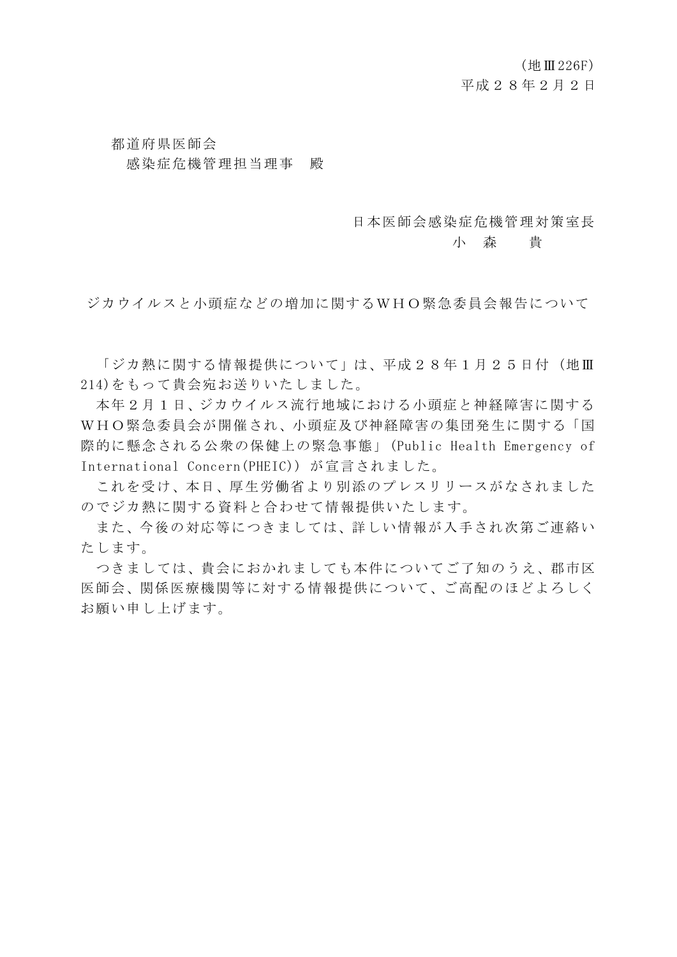### 都道府県医師会 感染症危機管理担当理事 殿

#### 日本医師会感染症危機管理対策室長

#### 小 森 貴

ジカウイルスと小頭症などの増加に関するWHO緊急委員会報告について

「ジカ熱に関する情報提供について」は、平成28年1月25日付(地Ⅲ 214)をもって貴会宛お送りいたしました。

本年2月1日、ジカウイルス流行地域における小頭症と神経障害に関する WHO緊急委員会が開催され、小頭症及び神経障害の集団発生に関する「国 際的に懸念される公衆の保健上の緊急事態」(Public Health Emergency of International Concern(PHEIC)) が宣言されました。

これを受け、本日、厚生労働省より別添のプレスリリースがなされました のでジカ熱に関する資料と合わせて情報提供いたします。

また、今後の対応等につきましては、詳しい情報が入手され次第ご連絡い たします。

つきましては、貴会におかれましても本件についてご了知のうえ、郡市区 医師会、関係医療機関等に対する情報提供について、ご高配のほどよろしく お願い申し上げます。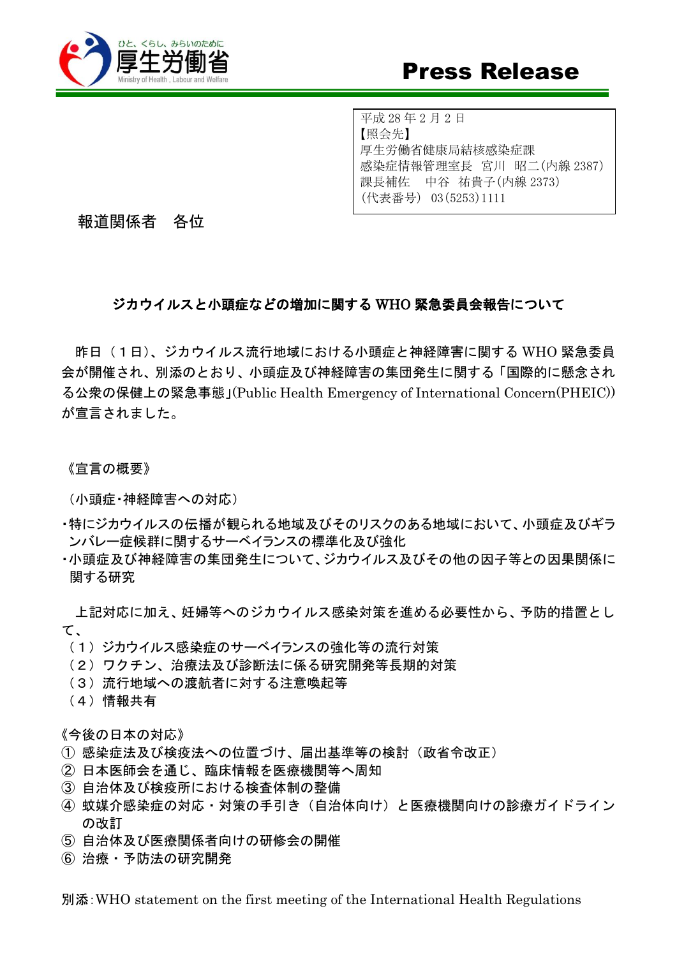

平成 28 年 2 月 2 日 【照会先】 厚生労働省健康局結核感染症課 感染症情報管理室長 宮川 昭二(内線 2387) 課長補佐 中谷 祐貴子(内線 2373) (代表番号) 03(5253)1111

報道関係者 各位

### ジカウイルスと小頭症などの増加に関する WHO 緊急委員会報告について

昨日(1日)、ジカウイルス流行地域における小頭症と神経障害に関する WHO 緊急委員 会が開催され、別添のとおり、小頭症及び神経障害の集団発生に関する「国際的に懸念され る公衆の保健上の緊急事態」(Public Health Emergency of International Concern(PHEIC)) が宣言されました。

《宣言の概要》

(小頭症・神経障害への対応)

- ・特にジカウイルスの伝播が観られる地域及びそのリスクのある地域において、小頭症及びギラ ンバレー症候群に関するサーベイランスの標準化及び強化
- ・小頭症及び神経障害の集団発生について、ジカウイルス及びその他の因子等との因果関係に 関する研究

上記対応に加え、妊婦等へのジカウイルス感染対策を進める必要性から、予防的措置とし て、

- (1)ジカウイルス感染症のサーベイランスの強化等の流行対策
- (2)ワクチン、治療法及び診断法に係る研究開発等長期的対策
- (3)流行地域への渡航者に対する注意喚起等
- (4)情報共有

《今後の日本の対応》

- ① 感染症法及び検疫法への位置づけ、届出基準等の検討(政省令改正)
- ② 日本医師会を通じ、臨床情報を医療機関等へ周知
- ③ 自治体及び検疫所における検査体制の整備
- ④ 蚊媒介感染症の対応・対策の手引き(自治体向け)と医療機関向けの診療ガイドライン の改訂
- ⑤ 自治体及び医療関係者向けの研修会の開催
- ⑥ 治療・予防法の研究開発

別添:WHO statement on the first meeting of the International Health Regulations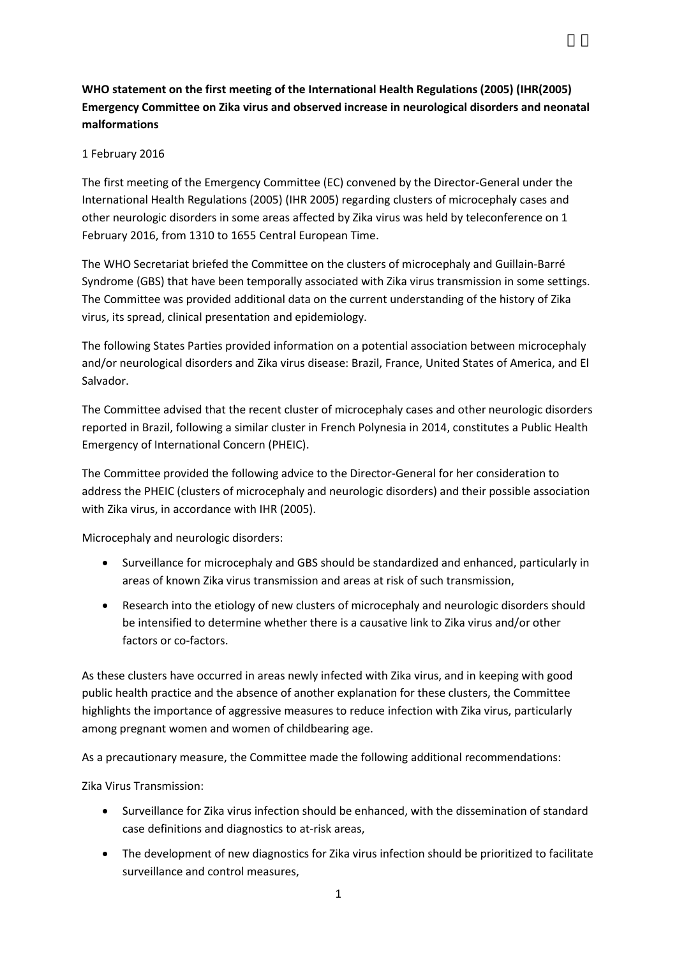### **WHO statement on the first meeting of the International Health Regulations (2005) (IHR(2005) Emergency Committee on Zika virus and observed increase in neurological disorders and neonatal malformations**

#### 1 February 2016

The first meeting of the Emergency Committee (EC) convened by the Director-General under the International Health Regulations (2005) (IHR 2005) regarding clusters of microcephaly cases and other neurologic disorders in some areas affected by Zika virus was held by teleconference on 1 February 2016, from 1310 to 1655 Central European Time.

The WHO Secretariat briefed the Committee on the clusters of microcephaly and Guillain-Barré Syndrome (GBS) that have been temporally associated with Zika virus transmission in some settings. The Committee was provided additional data on the current understanding of the history of Zika virus, its spread, clinical presentation and epidemiology.

The following States Parties provided information on a potential association between microcephaly and/or neurological disorders and Zika virus disease: Brazil, France, United States of America, and El Salvador.

The Committee advised that the recent cluster of microcephaly cases and other neurologic disorders reported in Brazil, following a similar cluster in French Polynesia in 2014, constitutes a Public Health Emergency of International Concern (PHEIC).

The Committee provided the following advice to the Director-General for her consideration to address the PHEIC (clusters of microcephaly and neurologic disorders) and their possible association with Zika virus, in accordance with IHR (2005).

Microcephaly and neurologic disorders:

- Surveillance for microcephaly and GBS should be standardized and enhanced, particularly in areas of known Zika virus transmission and areas at risk of such transmission,
- Research into the etiology of new clusters of microcephaly and neurologic disorders should be intensified to determine whether there is a causative link to Zika virus and/or other factors or co-factors.

As these clusters have occurred in areas newly infected with Zika virus, and in keeping with good public health practice and the absence of another explanation for these clusters, the Committee highlights the importance of aggressive measures to reduce infection with Zika virus, particularly among pregnant women and women of childbearing age.

As a precautionary measure, the Committee made the following additional recommendations:

Zika Virus Transmission:

- Surveillance for Zika virus infection should be enhanced, with the dissemination of standard case definitions and diagnostics to at-risk areas,
- The development of new diagnostics for Zika virus infection should be prioritized to facilitate surveillance and control measures,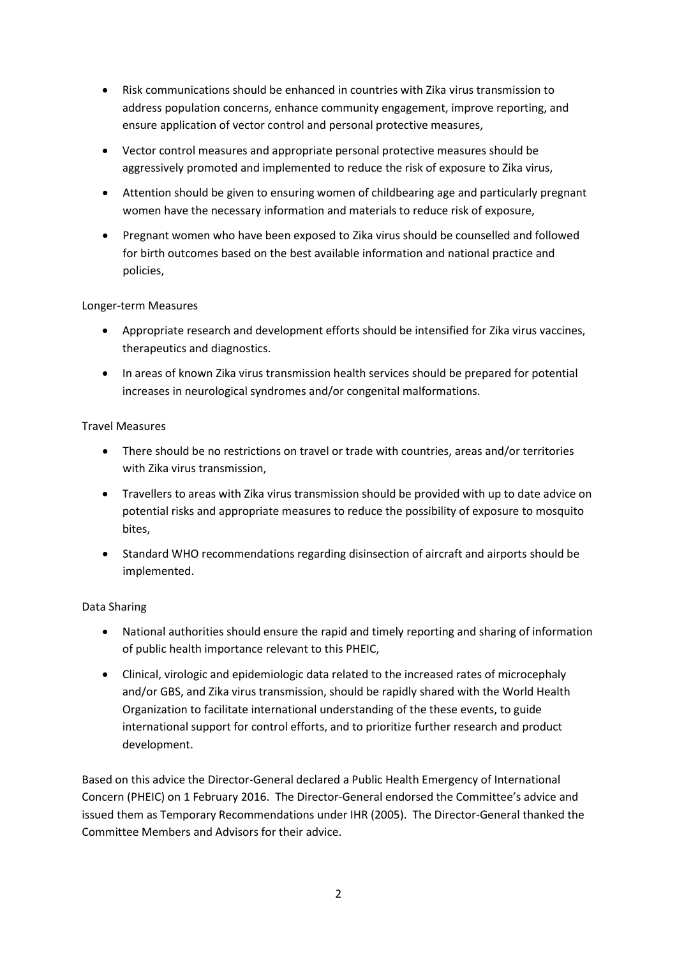- Risk communications should be enhanced in countries with Zika virus transmission to address population concerns, enhance community engagement, improve reporting, and ensure application of vector control and personal protective measures,
- Vector control measures and appropriate personal protective measures should be aggressively promoted and implemented to reduce the risk of exposure to Zika virus,
- Attention should be given to ensuring women of childbearing age and particularly pregnant women have the necessary information and materials to reduce risk of exposure,
- Pregnant women who have been exposed to Zika virus should be counselled and followed for birth outcomes based on the best available information and national practice and policies,

#### Longer-term Measures

- Appropriate research and development efforts should be intensified for Zika virus vaccines, therapeutics and diagnostics.
- In areas of known Zika virus transmission health services should be prepared for potential increases in neurological syndromes and/or congenital malformations.

#### Travel Measures

- There should be no restrictions on travel or trade with countries, areas and/or territories with Zika virus transmission,
- Travellers to areas with Zika virus transmission should be provided with up to date advice on potential risks and appropriate measures to reduce the possibility of exposure to mosquito bites,
- Standard WHO recommendations regarding disinsection of aircraft and airports should be implemented.

### Data Sharing

- National authorities should ensure the rapid and timely reporting and sharing of information of public health importance relevant to this PHEIC,
- Clinical, virologic and epidemiologic data related to the increased rates of microcephaly and/or GBS, and Zika virus transmission, should be rapidly shared with the World Health Organization to facilitate international understanding of the these events, to guide international support for control efforts, and to prioritize further research and product development.

Based on this advice the Director-General declared a Public Health Emergency of International Concern (PHEIC) on 1 February 2016. The Director-General endorsed the Committee's advice and issued them as Temporary Recommendations under IHR (2005). The Director-General thanked the Committee Members and Advisors for their advice.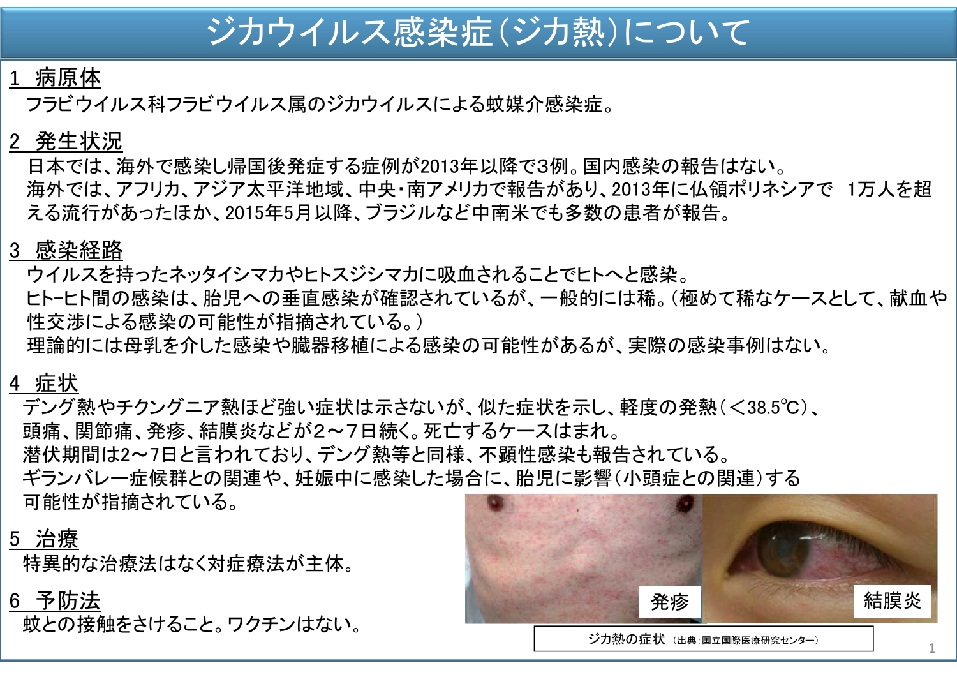# ジカウイルス感染症(ジカ熱)について

## 1 病原体

フラビウイルス科フラビウイルス属のジカウイルスによる蚊媒介感染症。

## 2 発生状況

日本では、海外で感染し帰国後発症する症例が2013年以降で3例。国内感染の報告はない。 海外では、アフリカ、アジア太平洋地域、中央・南アメリカで報告があり、2013年に仏領ポリネシアで 1万人を超 える流行があったほか、2015年5月以降、ブラジルなど中南米でも多数の患者が報告。

## 3 感染経路

- ウイルスを持ったネッタイシマカやヒトスジシマカに吸血されることでヒトへと感染。
- ヒト-ヒト間の感染は、胎児への垂直感染が確認されているが、一般的には稀。(極めて稀なケースとして、献血や 性交渉による感染の可能性が指摘されている。)
- 理論的には母乳を介した感染や臓器移植による感染の可能性があるが、実際の感染事例はない。

## 4 症状

デング熱やチクングニア熱ほど強い症状は示さないが、似た症状を示し、軽度の発熱(<38.5℃)、 頭痛、関節痛、発疹、結膜炎などが2~7日続く。死亡するケースはまれ。 潜伏期間は2~7日と言われており、デング熱等と同様、不顕性感染も報告されている。 ギランバレー症候群との関連や、妊娠中に感染した場合に、胎児に影響(小頭症との関連)する 可能性が指摘されている。

## 5 治療

特異的な治療法はなく対症療法が主体。

6 予防法

蚊との接触をさけること。ワクチンはない。



ジカ熱の症状 (出典:国立国際医療研究センター)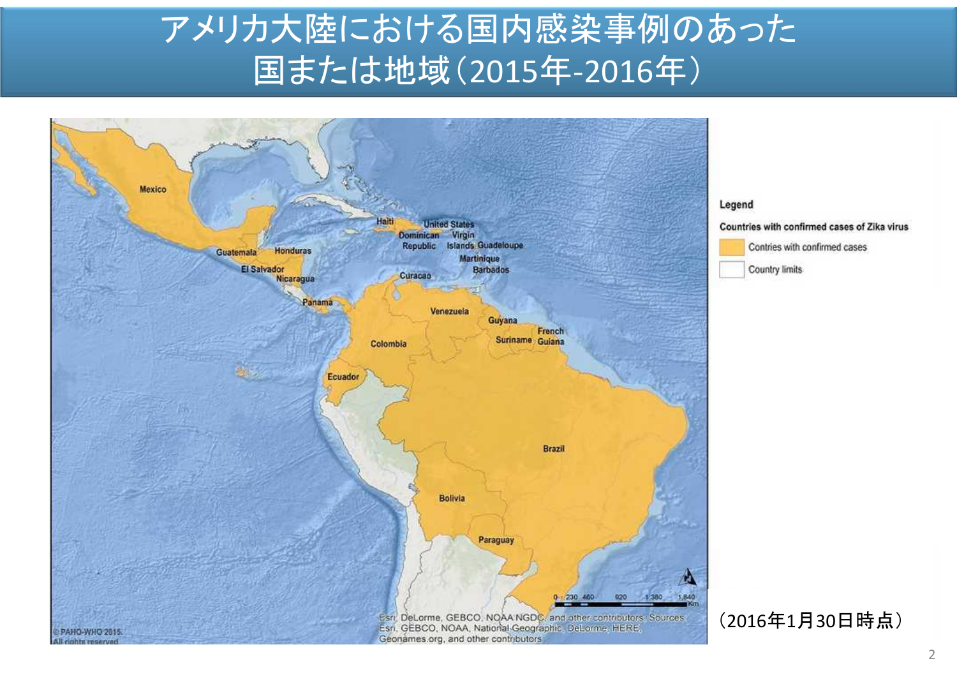# アメリカ大陸における国内感染事例のあった 国または地域(2015年-2016年)

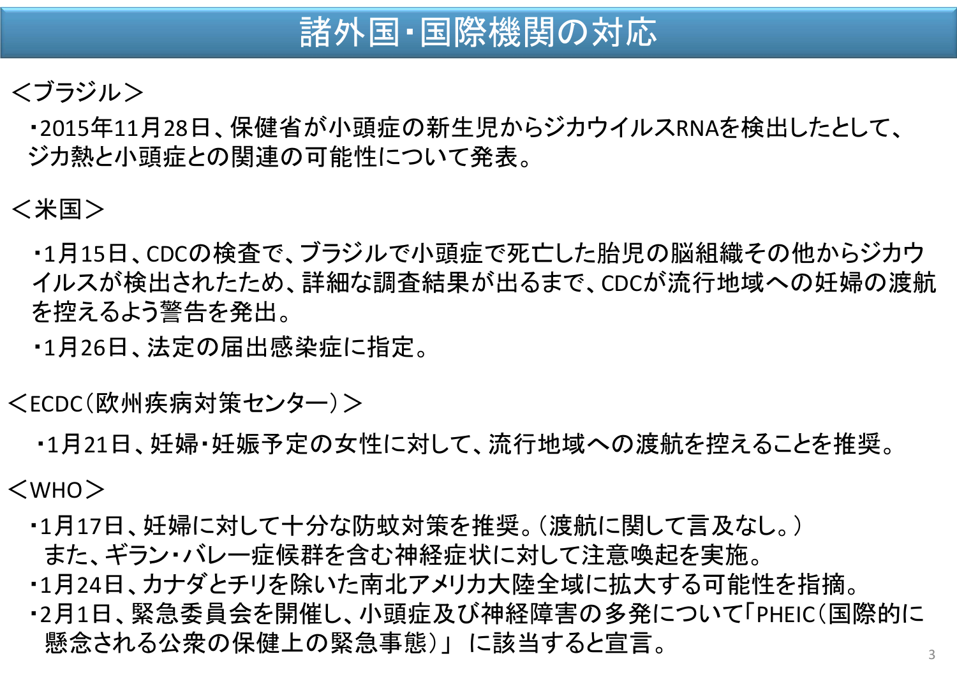# 諸外国・国際機関の対応

## <ブラジル>

・2015年11月28日、保健省が小頭症の新生児からジカウイルスRNAを検出したとして、 ジカ熱と小頭症との関連の可能性について発表。

## <米国>

・1月15日、CDCの検査で、ブラジルで小頭症で死亡した胎児の脳組織その他からジカウ イルスが検出されたため、詳細な調査結果が出るまで、CDCが流行地域への妊婦の渡航 を控えるよう警告を発出。

・1月26日、法定の届出感染症に指定。

<ECDC(欧州疾病対策センター)>

・1月21日、妊婦・妊娠予定の女性に対して、流行地域への渡航を控えることを推奨。

<WHO>

- ・1月17日、妊婦に対して十分な防蚊対策を推奨。(渡航に関して言及なし。) また、ギラン・バレー症候群を含む神経症状に対して注意喚起を実施。
- ・1月24日、カナダとチリを除いた南北アメリカ大陸全域に拡大する可能性を指摘。
- ・2月1日、緊急委員会を開催し、小頭症及び神経障害の多発について「PHEIC(国際的に 懸念される公衆の保健上の緊急事態)」 に該当すると宣言。